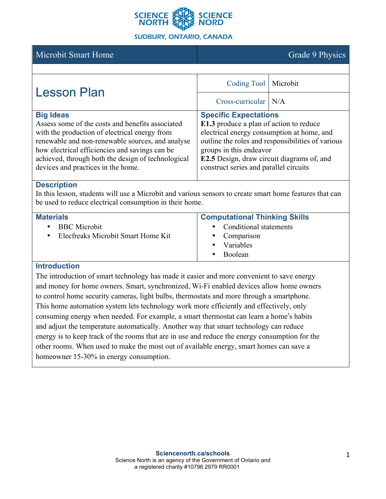

#### **SUDBURY, ONTARIO, CANADA**

# Microbit Smart Home Grade 9 Physics

| <b>Lesson Plan</b>                                                                                                                                                                                                                                                                | Coding Tool   Microbit                                                                                                                                                                                                                              |  |
|-----------------------------------------------------------------------------------------------------------------------------------------------------------------------------------------------------------------------------------------------------------------------------------|-----------------------------------------------------------------------------------------------------------------------------------------------------------------------------------------------------------------------------------------------------|--|
|                                                                                                                                                                                                                                                                                   | $Cross$ -curricular $N/A$                                                                                                                                                                                                                           |  |
| <b>Big Ideas</b><br>Assess some of the costs and benefits associated<br>with the production of electrical energy from<br>renewable and non-renewable sources, and analyse<br>how electrical efficiencies and savings can be<br>achieved, through both the design of technological | <b>Specific Expectations</b><br>E1.3 produce a plan of action to reduce<br>electrical energy consumption at home, and<br>outline the roles and responsibilities of various<br>groups in this endeavor<br>E2.5 Design, draw circuit diagrams of, and |  |
| devices and practices in the home.                                                                                                                                                                                                                                                | construct series and parallel circuits                                                                                                                                                                                                              |  |

#### **Description**

In this lesson, students will use a Microbit and various sensors to create smart home features that can be used to reduce electrical consumption in their home.

| <b>Materials</b>                   | <b>Computational Thinking Skills</b> |  |
|------------------------------------|--------------------------------------|--|
| <b>BBC</b> Microbit                | • Conditional statements             |  |
| Elecfreaks Microbit Smart Home Kit | Comparison<br>$\bullet$              |  |
|                                    | Variables<br>$\bullet$               |  |
|                                    | <b>Boolean</b>                       |  |

#### **Introduction**

The introduction of smart technology has made it easier and more convenient to save energy and money for home owners. Smart, synchronized, Wi-Fi enabled devices allow home owners to control home security cameras, light bulbs, thermostats and more through a smartphone. This home automation system lets technology work more efficiently and effectively, only consuming energy when needed. For example, a smart thermostat can learn a home's habits and adjust the temperature automatically. Another way that smart technology can reduce energy is to keep track of the rooms that are in use and reduce the energy consumption for the other rooms. When used to make the most out of available energy, smart homes can save a homeowner 15-30% in energy consumption.